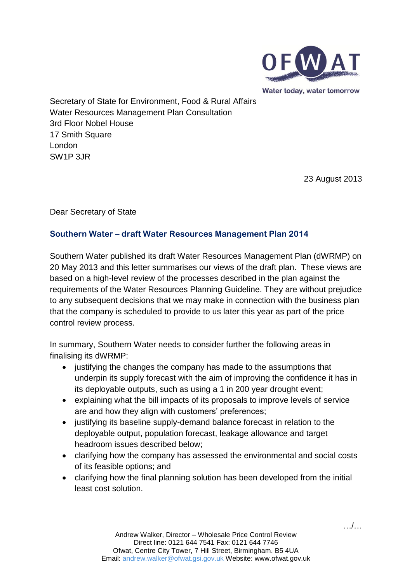

Water today, water tomorrow

Secretary of State for Environment, Food & Rural Affairs Water Resources Management Plan Consultation 3rd Floor Nobel House 17 Smith Square London SW1P 3JR

23 August 2013

Dear Secretary of State

### **Southern Water – draft Water Resources Management Plan 2014**

Southern Water published its draft Water Resources Management Plan (dWRMP) on 20 May 2013 and this letter summarises our views of the draft plan. These views are based on a high-level review of the processes described in the plan against the requirements of the Water Resources Planning Guideline. They are without prejudice to any subsequent decisions that we may make in connection with the business plan that the company is scheduled to provide to us later this year as part of the price control review process.

In summary, Southern Water needs to consider further the following areas in finalising its dWRMP:

- iustifying the changes the company has made to the assumptions that underpin its supply forecast with the aim of improving the confidence it has in its deployable outputs, such as using a 1 in 200 year drought event;
- explaining what the bill impacts of its proposals to improve levels of service are and how they align with customers' preferences;
- justifying its baseline supply-demand balance forecast in relation to the deployable output, population forecast, leakage allowance and target headroom issues described below;
- clarifying how the company has assessed the environmental and social costs of its feasible options; and
- clarifying how the final planning solution has been developed from the initial least cost solution.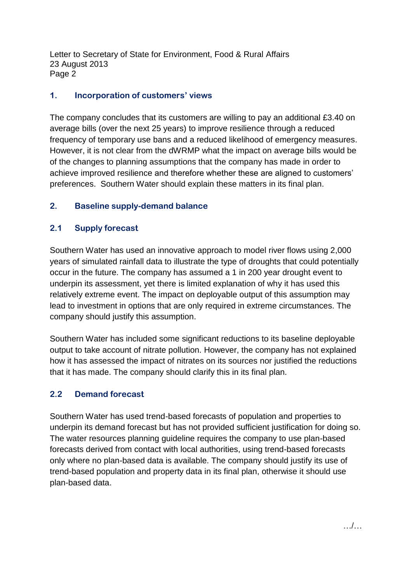Letter to Secretary of State for Environment, Food & Rural Affairs 23 August 2013 Page 2

### **1. Incorporation of customers' views**

The company concludes that its customers are willing to pay an additional £3.40 on average bills (over the next 25 years) to improve resilience through a reduced frequency of temporary use bans and a reduced likelihood of emergency measures. However, it is not clear from the dWRMP what the impact on average bills would be of the changes to planning assumptions that the company has made in order to achieve improved resilience and therefore whether these are aligned to customers' preferences. Southern Water should explain these matters in its final plan.

## **2. Baseline supply-demand balance**

## **2.1 Supply forecast**

Southern Water has used an innovative approach to model river flows using 2,000 years of simulated rainfall data to illustrate the type of droughts that could potentially occur in the future. The company has assumed a 1 in 200 year drought event to underpin its assessment, yet there is limited explanation of why it has used this relatively extreme event. The impact on deployable output of this assumption may lead to investment in options that are only required in extreme circumstances. The company should justify this assumption.

Southern Water has included some significant reductions to its baseline deployable output to take account of nitrate pollution. However, the company has not explained how it has assessed the impact of nitrates on its sources nor justified the reductions that it has made. The company should clarify this in its final plan.

## **2.2 Demand forecast**

Southern Water has used trend-based forecasts of population and properties to underpin its demand forecast but has not provided sufficient justification for doing so. The water resources planning guideline requires the company to use plan-based forecasts derived from contact with local authorities, using trend-based forecasts only where no plan-based data is available. The company should justify its use of trend-based population and property data in its final plan, otherwise it should use plan-based data.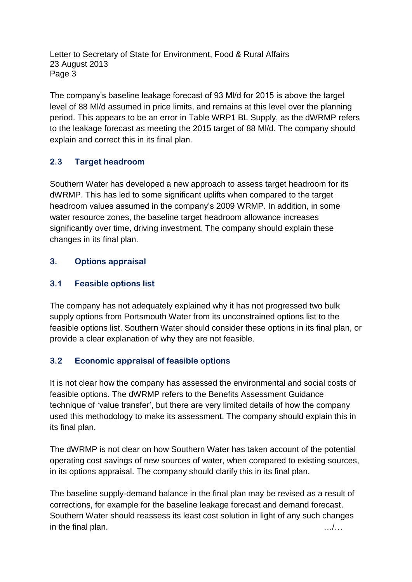Letter to Secretary of State for Environment, Food & Rural Affairs 23 August 2013 Page 3

The company's baseline leakage forecast of 93 Ml/d for 2015 is above the target level of 88 Ml/d assumed in price limits, and remains at this level over the planning period. This appears to be an error in Table WRP1 BL Supply, as the dWRMP refers to the leakage forecast as meeting the 2015 target of 88 Ml/d. The company should explain and correct this in its final plan.

# **2.3 Target headroom**

Southern Water has developed a new approach to assess target headroom for its dWRMP. This has led to some significant uplifts when compared to the target headroom values assumed in the company's 2009 WRMP. In addition, in some water resource zones, the baseline target headroom allowance increases significantly over time, driving investment. The company should explain these changes in its final plan.

# **3. Options appraisal**

# **3.1 Feasible options list**

The company has not adequately explained why it has not progressed two bulk supply options from Portsmouth Water from its unconstrained options list to the feasible options list. Southern Water should consider these options in its final plan, or provide a clear explanation of why they are not feasible.

## **3.2 Economic appraisal of feasible options**

It is not clear how the company has assessed the environmental and social costs of feasible options. The dWRMP refers to the Benefits Assessment Guidance technique of 'value transfer', but there are very limited details of how the company used this methodology to make its assessment. The company should explain this in its final plan.

The dWRMP is not clear on how Southern Water has taken account of the potential operating cost savings of new sources of water, when compared to existing sources, in its options appraisal. The company should clarify this in its final plan.

The baseline supply-demand balance in the final plan may be revised as a result of corrections, for example for the baseline leakage forecast and demand forecast. Southern Water should reassess its least cost solution in light of any such changes in the final plan. …/…